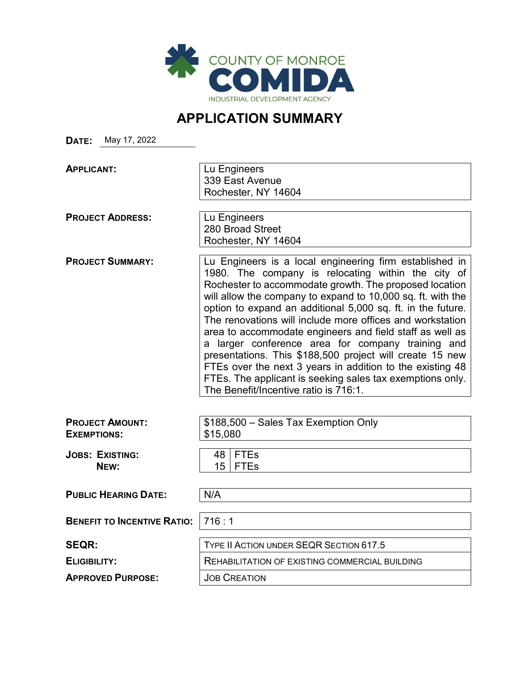

# **APPLICATION SUMMARY**

**DATE:** May 17, 2022

**APPLICANT:** Lu Engineers 339 East Avenue Rochester, NY 14604

280 Broad Street

**PROJECT ADDRESS:** | Lu Engineers

Rochester, NY 14604 **PROJECT SUMMARY:** | Lu Engineers is a local engineering firm established in 1980. The company is relocating within the city of Rochester to accommodate growth. The proposed location will allow the company to expand to 10,000 sq. ft. with the option to expand an additional 5,000 sq. ft. in the future. The renovations will include more offices and workstation area to accommodate engineers and field staff as well as a larger conference area for company training and presentations. This \$188,500 project will create 15 new FTEs over the next 3 years in addition to the existing 48 FTEs. The applicant is seeking sales tax exemptions only. The Benefit/Incentive ratio is 716:1.

| <b>PROJECT AMOUNT:</b><br><b>EXEMPTIONS:</b> |      | \$188,500 - Sales Tax Exemption Only<br>\$15,080 |  |
|----------------------------------------------|------|--------------------------------------------------|--|
| <b>JOBS: EXISTING:</b><br>NEW:               | 15 I | 48 FTEs<br><b>FTEs</b>                           |  |
|                                              |      |                                                  |  |

**PUBLIC HEARING DATE:** N/A

**BENEFIT TO INCENTIVE RATIO:** 716 : 1

**APPROVED PURPOSE: JOB CREATION** 

**SEQR:** TYPE II ACTION UNDER SEQR SECTION 617.5 **ELIGIBILITY:** REHABILITATION OF EXISTING COMMERCIAL BUILDING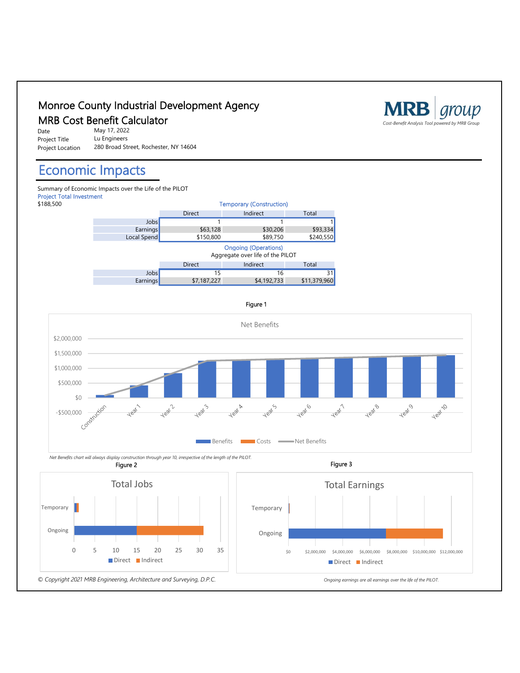



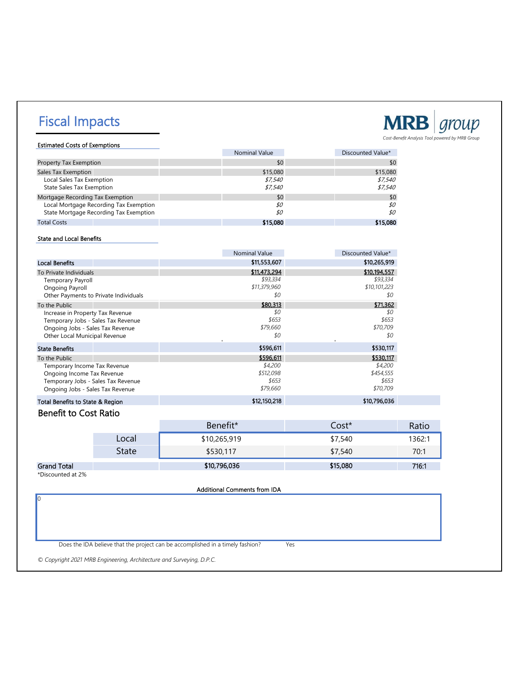# Fiscal Impacts



Estimated Costs of Exemptions Nominal Value **Discounted Value Discounted Value** \*

| <b>Property Tax Exemption</b>          | \$0      | \$0      |
|----------------------------------------|----------|----------|
| Sales Tax Exemption                    | \$15,080 | \$15,080 |
| Local Sales Tax Exemption              | \$7,540  | \$7,540  |
| <b>State Sales Tax Exemption</b>       | \$7.540  | \$7,540  |
| Mortgage Recording Tax Exemption       | \$0      | \$0      |
| Local Mortgage Recording Tax Exemption | \$0      | \$0      |
| State Mortgage Recording Tax Exemption | \$0      | \$0      |
| <b>Total Costs</b>                     | \$15,080 | \$15,080 |

#### State and Local Benefits

|                                       | <b>Nominal Value</b> | Discounted Value* |
|---------------------------------------|----------------------|-------------------|
| <b>Local Benefits</b>                 | \$11,553,607         | \$10,265,919      |
| To Private Individuals                | \$11,473,294         | \$10,194,557      |
| <b>Temporary Payroll</b>              | \$93,334             | \$93,334          |
| Ongoing Payroll                       | \$11,379,960         | \$10,101,223      |
| Other Payments to Private Individuals | \$0                  | \$0               |
| To the Public                         | \$80,313             | \$71,362          |
| Increase in Property Tax Revenue      | \$0                  | \$0               |
| Temporary Jobs - Sales Tax Revenue    | \$653                | \$653             |
| Ongoing Jobs - Sales Tax Revenue      | \$79.660             | \$70.709          |
| Other Local Municipal Revenue         | \$0                  | \$0               |
| <b>State Benefits</b>                 | \$596,611            | \$530,117         |
| To the Public                         | \$596,611            | \$530,117         |
| Temporary Income Tax Revenue          | \$4,200              | \$4,200           |
| Ongoing Income Tax Revenue            | \$512,098            | \$454,555         |
| Temporary Jobs - Sales Tax Revenue    | \$653                | \$653             |
| Ongoing Jobs - Sales Tax Revenue      | \$79,660             | \$70,709          |
| Total Benefits to State & Region      | \$12,150,218         | \$10,796,036      |

### Benefit to Cost Ratio

|                    |       | Benefit*     | Cost*    | Ratio  |
|--------------------|-------|--------------|----------|--------|
|                    | Local | \$10,265,919 | \$7,540  | 1362:1 |
|                    | State | \$530,117    | \$7,540  | 70:1   |
| <b>Grand Total</b> |       | \$10,796,036 | \$15,080 | 716:1  |

\*Discounted at 2%

0

Additional Comments from IDA

Does the IDA believe that the project can be accomplished in a timely fashion? Yes

*© Copyright 2021 MRB Engineering, Architecture and Surveying, D.P.C.*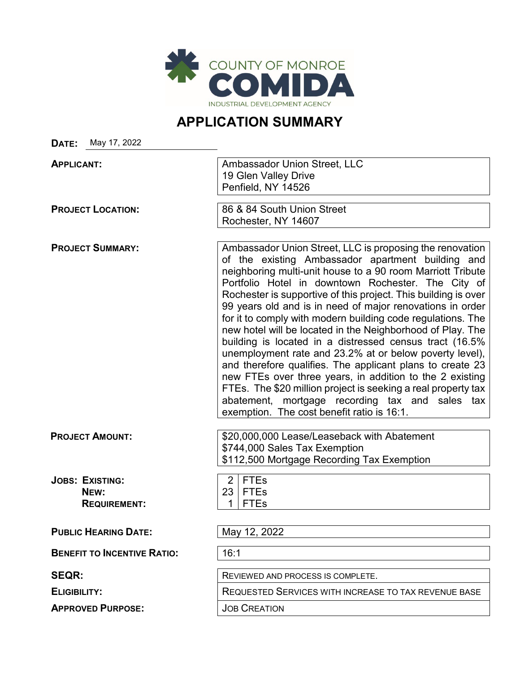

## **APPLICATION SUMMARY**

**DATE:** May 17, 2022 **APPLICANT:** Ambassador Union Street, LLC 19 Glen Valley Drive Penfield, NY 14526 **PROJECT LOCATION:** 86 & 84 South Union Street Rochester, NY 14607 **PROJECT SUMMARY:** Ambassador Union Street, LLC is proposing the renovation of the existing Ambassador apartment building and neighboring multi-unit house to a 90 room Marriott Tribute Portfolio Hotel in downtown Rochester. The City of Rochester is supportive of this project. This building is over 99 years old and is in need of major renovations in order for it to comply with modern building code regulations. The new hotel will be located in the Neighborhood of Play. The building is located in a distressed census tract (16.5% unemployment rate and 23.2% at or below poverty level), and therefore qualifies. The applicant plans to create 23 new FTEs over three years, in addition to the 2 existing FTEs. The \$20 million project is seeking a real property tax abatement, mortgage recording tax and sales tax exemption. The cost benefit ratio is 16:1. **PROJECT AMOUNT:**  $\left| \frac{$20.000.000}{2} \right|$  Lease/Leaseback with Abatement \$744,000 Sales Tax Exemption \$112,500 Mortgage Recording Tax Exemption **JOBS: EXISTING:**<br> **NEW:**<br> **P** 23 FTES **NEW:** 23 FTEs REQUIREMENT: 1 | 1 | FTES **PUBLIC HEARING DATE:** May 12, 2022 **BENEFIT TO INCENTIVE RATIO:** 16:1 **SEQR:** REVIEWED AND PROCESS IS COMPLETE. **ELIGIBILITY:** REQUESTED SERVICES WITH INCREASE TO TAX REVENUE BASE **APPROVED PURPOSE:**  $\vert$  JOB CREATION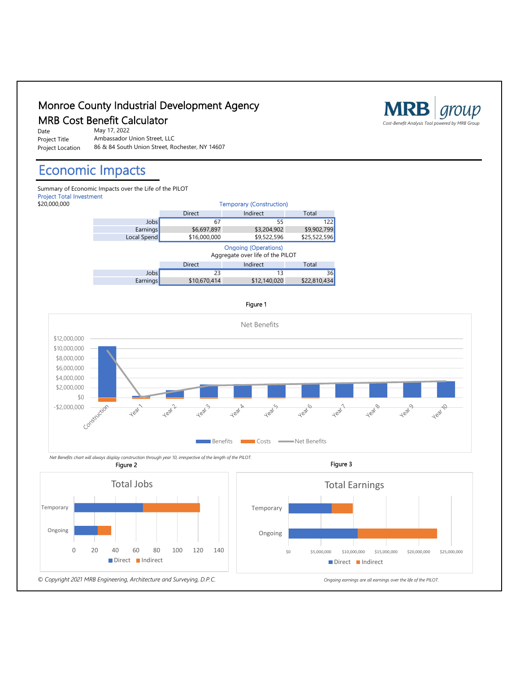### Monroe County Industrial Development Agency

Date Project Title Project Location

May 17, 2022 Ambassador Union Street, LLC 86 & 84 South Union Street, Rochester, NY 14607

## Economic Impacts

Summary of Economic Impacts over the Life of the PILOT Project Total Investment<br>\$20,000,000





 *Net Benefits chart will always display construction through year 10, irrespective of the length of the PILOT.* Figure 2



Figure 3





#### Figure 1